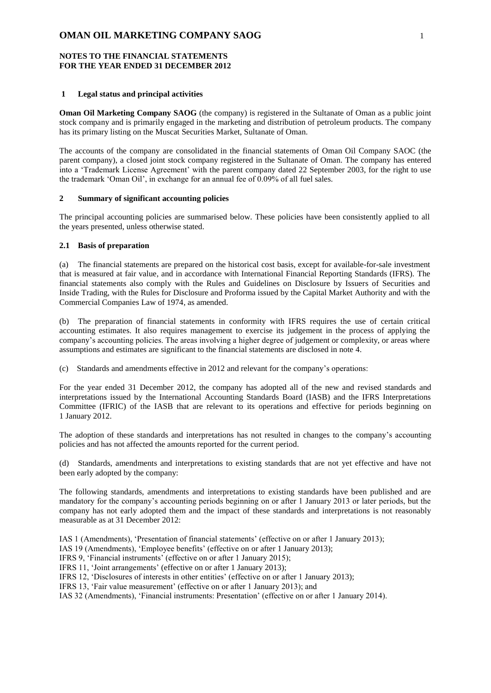### **NOTES TO THE FINANCIAL STATEMENTS FOR THE YEAR ENDED 31 DECEMBER 2012**

#### **1 Legal status and principal activities**

**Oman Oil Marketing Company SAOG** (the company) is registered in the Sultanate of Oman as a public joint stock company and is primarily engaged in the marketing and distribution of petroleum products. The company has its primary listing on the Muscat Securities Market, Sultanate of Oman.

The accounts of the company are consolidated in the financial statements of Oman Oil Company SAOC (the parent company), a closed joint stock company registered in the Sultanate of Oman. The company has entered into a 'Trademark License Agreement' with the parent company dated 22 September 2003, for the right to use the trademark 'Oman Oil', in exchange for an annual fee of 0.09% of all fuel sales.

#### **2 Summary of significant accounting policies**

The principal accounting policies are summarised below. These policies have been consistently applied to all the years presented, unless otherwise stated.

#### **2.1 Basis of preparation**

(a) The financial statements are prepared on the historical cost basis, except for available-for-sale investment that is measured at fair value, and in accordance with International Financial Reporting Standards (IFRS). The financial statements also comply with the Rules and Guidelines on Disclosure by Issuers of Securities and Inside Trading, with the Rules for Disclosure and Proforma issued by the Capital Market Authority and with the Commercial Companies Law of 1974, as amended.

(b) The preparation of financial statements in conformity with IFRS requires the use of certain critical accounting estimates. It also requires management to exercise its judgement in the process of applying the company's accounting policies. The areas involving a higher degree of judgement or complexity, or areas where assumptions and estimates are significant to the financial statements are disclosed in note 4.

(c) Standards and amendments effective in 2012 and relevant for the company's operations:

For the year ended 31 December 2012, the company has adopted all of the new and revised standards and interpretations issued by the International Accounting Standards Board (IASB) and the IFRS Interpretations Committee (IFRIC) of the IASB that are relevant to its operations and effective for periods beginning on 1 January 2012.

The adoption of these standards and interpretations has not resulted in changes to the company's accounting policies and has not affected the amounts reported for the current period.

(d) Standards, amendments and interpretations to existing standards that are not yet effective and have not been early adopted by the company:

The following standards, amendments and interpretations to existing standards have been published and are mandatory for the company's accounting periods beginning on or after 1 January 2013 or later periods, but the company has not early adopted them and the impact of these standards and interpretations is not reasonably measurable as at 31 December 2012:

IAS 1 (Amendments), 'Presentation of financial statements' (effective on or after 1 January 2013);

IAS 19 (Amendments), 'Employee benefits' (effective on or after 1 January 2013);

IFRS 9, 'Financial instruments' (effective on or after 1 January 2015);

IFRS 11, 'Joint arrangements' (effective on or after 1 January 2013);

IFRS 12, 'Disclosures of interests in other entities' (effective on or after 1 January 2013);

IFRS 13, 'Fair value measurement' (effective on or after 1 January 2013); and

IAS 32 (Amendments), 'Financial instruments: Presentation' (effective on or after 1 January 2014).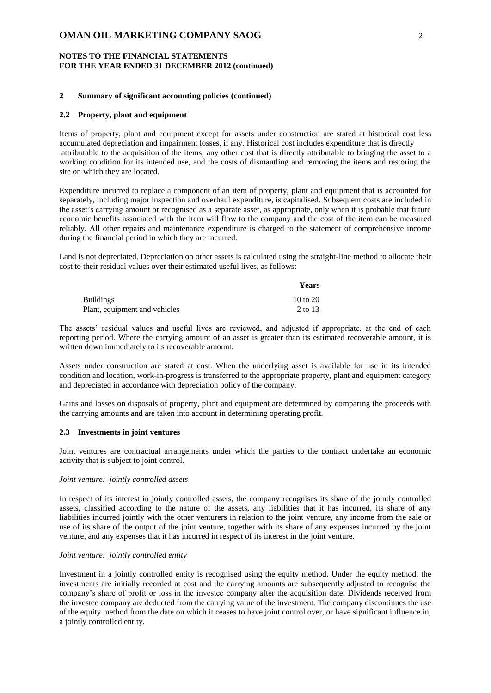### **NOTES TO THE FINANCIAL STATEMENTS FOR THE YEAR ENDED 31 DECEMBER 2012 (continued)**

### **2 Summary of significant accounting policies (continued)**

#### **2.2 Property, plant and equipment**

Items of property, plant and equipment except for assets under construction are stated at historical cost less accumulated depreciation and impairment losses, if any. Historical cost includes expenditure that is directly attributable to the acquisition of the items, any other cost that is directly attributable to bringing the asset to a working condition for its intended use, and the costs of dismantling and removing the items and restoring the site on which they are located.

Expenditure incurred to replace a component of an item of property, plant and equipment that is accounted for separately, including major inspection and overhaul expenditure, is capitalised. Subsequent costs are included in the asset's carrying amount or recognised as a separate asset, as appropriate, only when it is probable that future economic benefits associated with the item will flow to the company and the cost of the item can be measured reliably. All other repairs and maintenance expenditure is charged to the statement of comprehensive income during the financial period in which they are incurred.

Land is not depreciated. Depreciation on other assets is calculated using the straight-line method to allocate their cost to their residual values over their estimated useful lives, as follows:

**Years** 

|                               | r ears   |
|-------------------------------|----------|
| <b>Buildings</b>              | 10 to 20 |
| Plant, equipment and vehicles | 2 to 13  |

The assets' residual values and useful lives are reviewed, and adjusted if appropriate, at the end of each reporting period. Where the carrying amount of an asset is greater than its estimated recoverable amount, it is written down immediately to its recoverable amount.

Assets under construction are stated at cost. When the underlying asset is available for use in its intended condition and location, work-in-progress is transferred to the appropriate property, plant and equipment category and depreciated in accordance with depreciation policy of the company.

Gains and losses on disposals of property, plant and equipment are determined by comparing the proceeds with the carrying amounts and are taken into account in determining operating profit.

### **2.3 Investments in joint ventures**

Joint ventures are contractual arrangements under which the parties to the contract undertake an economic activity that is subject to joint control.

#### *Joint venture: jointly controlled assets*

In respect of its interest in jointly controlled assets, the company recognises its share of the jointly controlled assets, classified according to the nature of the assets, any liabilities that it has incurred, its share of any liabilities incurred jointly with the other venturers in relation to the joint venture, any income from the sale or use of its share of the output of the joint venture, together with its share of any expenses incurred by the joint venture, and any expenses that it has incurred in respect of its interest in the joint venture.

#### *Joint venture: jointly controlled entity*

Investment in a jointly controlled entity is recognised using the equity method. Under the equity method, the investments are initially recorded at cost and the carrying amounts are subsequently adjusted to recognise the company's share of profit or loss in the investee company after the acquisition date. Dividends received from the investee company are deducted from the carrying value of the investment. The company discontinues the use of the equity method from the date on which it ceases to have joint control over, or have significant influence in, a jointly controlled entity.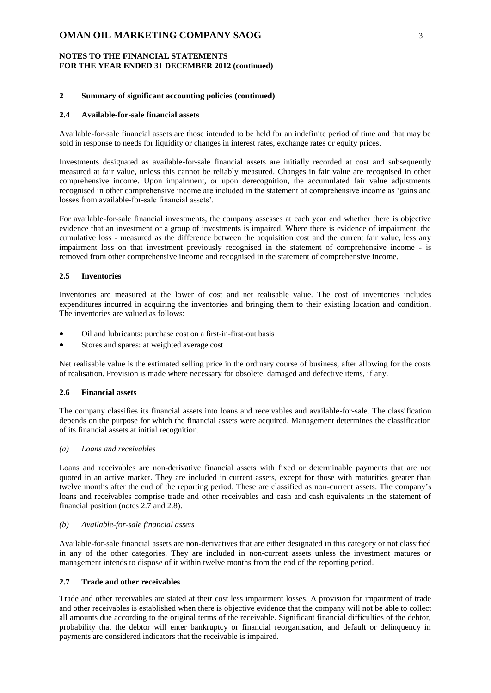### **NOTES TO THE FINANCIAL STATEMENTS FOR THE YEAR ENDED 31 DECEMBER 2012 (continued)**

### **2 Summary of significant accounting policies (continued)**

#### **2.4 Available-for-sale financial assets**

Available-for-sale financial assets are those intended to be held for an indefinite period of time and that may be sold in response to needs for liquidity or changes in interest rates, exchange rates or equity prices.

Investments designated as available-for-sale financial assets are initially recorded at cost and subsequently measured at fair value, unless this cannot be reliably measured. Changes in fair value are recognised in other comprehensive income. Upon impairment, or upon derecognition, the accumulated fair value adjustments recognised in other comprehensive income are included in the statement of comprehensive income as 'gains and losses from available-for-sale financial assets'.

For available-for-sale financial investments, the company assesses at each year end whether there is objective evidence that an investment or a group of investments is impaired. Where there is evidence of impairment, the cumulative loss - measured as the difference between the acquisition cost and the current fair value, less any impairment loss on that investment previously recognised in the statement of comprehensive income - is removed from other comprehensive income and recognised in the statement of comprehensive income.

### **2.5 Inventories**

Inventories are measured at the lower of cost and net realisable value. The cost of inventories includes expenditures incurred in acquiring the inventories and bringing them to their existing location and condition. The inventories are valued as follows:

- Oil and lubricants: purchase cost on a first-in-first-out basis
- Stores and spares: at weighted average cost

Net realisable value is the estimated selling price in the ordinary course of business, after allowing for the costs of realisation. Provision is made where necessary for obsolete, damaged and defective items, if any.

#### **2.6 Financial assets**

The company classifies its financial assets into loans and receivables and available-for-sale. The classification depends on the purpose for which the financial assets were acquired. Management determines the classification of its financial assets at initial recognition.

## *(a) Loans and receivables*

Loans and receivables are non-derivative financial assets with fixed or determinable payments that are not quoted in an active market. They are included in current assets, except for those with maturities greater than twelve months after the end of the reporting period. These are classified as non-current assets. The company's loans and receivables comprise trade and other receivables and cash and cash equivalents in the statement of financial position (notes 2.7 and 2.8).

#### *(b) Available-for-sale financial assets*

Available-for-sale financial assets are non-derivatives that are either designated in this category or not classified in any of the other categories. They are included in non-current assets unless the investment matures or management intends to dispose of it within twelve months from the end of the reporting period.

### **2.7 Trade and other receivables**

Trade and other receivables are stated at their cost less impairment losses. A provision for impairment of trade and other receivables is established when there is objective evidence that the company will not be able to collect all amounts due according to the original terms of the receivable. Significant financial difficulties of the debtor, probability that the debtor will enter bankruptcy or financial reorganisation, and default or delinquency in payments are considered indicators that the receivable is impaired.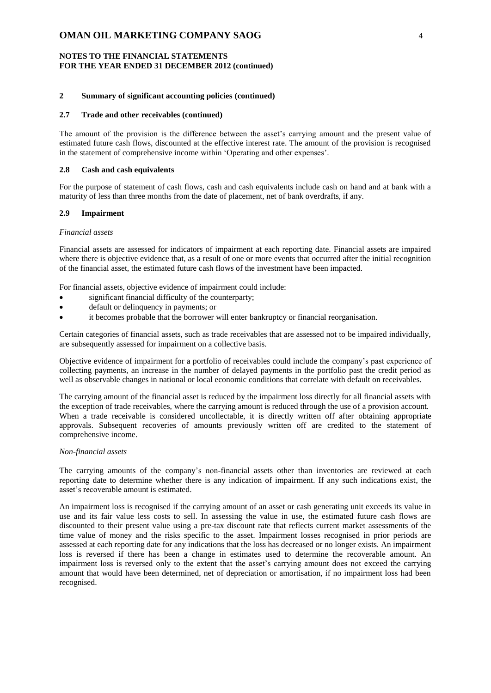### **NOTES TO THE FINANCIAL STATEMENTS FOR THE YEAR ENDED 31 DECEMBER 2012 (continued)**

## **2 Summary of significant accounting policies (continued)**

### **2.7 Trade and other receivables (continued)**

The amount of the provision is the difference between the asset's carrying amount and the present value of estimated future cash flows, discounted at the effective interest rate. The amount of the provision is recognised in the statement of comprehensive income within 'Operating and other expenses'.

### **2.8 Cash and cash equivalents**

For the purpose of statement of cash flows, cash and cash equivalents include cash on hand and at bank with a maturity of less than three months from the date of placement, net of bank overdrafts, if any.

#### **2.9 Impairment**

#### *Financial assets*

Financial assets are assessed for indicators of impairment at each reporting date. Financial assets are impaired where there is objective evidence that, as a result of one or more events that occurred after the initial recognition of the financial asset, the estimated future cash flows of the investment have been impacted.

For financial assets, objective evidence of impairment could include:

- significant financial difficulty of the counterparty;
- default or delinquency in payments; or
- it becomes probable that the borrower will enter bankruptcy or financial reorganisation.

Certain categories of financial assets, such as trade receivables that are assessed not to be impaired individually, are subsequently assessed for impairment on a collective basis.

Objective evidence of impairment for a portfolio of receivables could include the company's past experience of collecting payments, an increase in the number of delayed payments in the portfolio past the credit period as well as observable changes in national or local economic conditions that correlate with default on receivables.

The carrying amount of the financial asset is reduced by the impairment loss directly for all financial assets with the exception of trade receivables, where the carrying amount is reduced through the use of a provision account. When a trade receivable is considered uncollectable, it is directly written off after obtaining appropriate approvals. Subsequent recoveries of amounts previously written off are credited to the statement of comprehensive income.

#### *Non-financial assets*

The carrying amounts of the company's non-financial assets other than inventories are reviewed at each reporting date to determine whether there is any indication of impairment. If any such indications exist, the asset's recoverable amount is estimated.

An impairment loss is recognised if the carrying amount of an asset or cash generating unit exceeds its value in use and its fair value less costs to sell. In assessing the value in use, the estimated future cash flows are discounted to their present value using a pre-tax discount rate that reflects current market assessments of the time value of money and the risks specific to the asset. Impairment losses recognised in prior periods are assessed at each reporting date for any indications that the loss has decreased or no longer exists. An impairment loss is reversed if there has been a change in estimates used to determine the recoverable amount. An impairment loss is reversed only to the extent that the asset's carrying amount does not exceed the carrying amount that would have been determined, net of depreciation or amortisation, if no impairment loss had been recognised.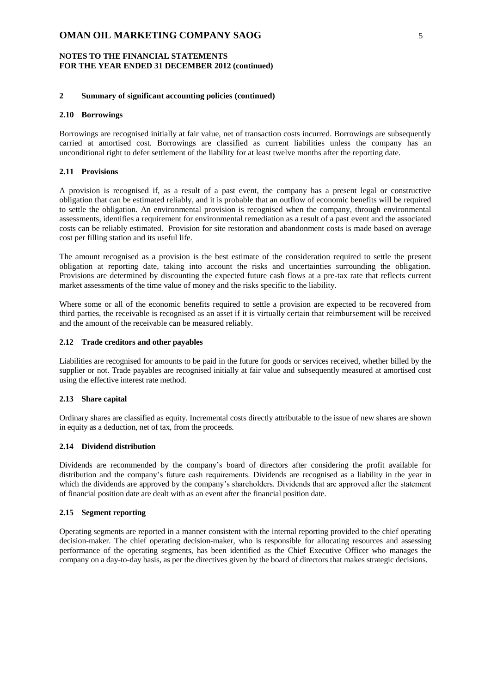### **NOTES TO THE FINANCIAL STATEMENTS FOR THE YEAR ENDED 31 DECEMBER 2012 (continued)**

#### **2 Summary of significant accounting policies (continued)**

#### **2.10 Borrowings**

Borrowings are recognised initially at fair value, net of transaction costs incurred. Borrowings are subsequently carried at amortised cost. Borrowings are classified as current liabilities unless the company has an unconditional right to defer settlement of the liability for at least twelve months after the reporting date.

#### **2.11 Provisions**

A provision is recognised if, as a result of a past event, the company has a present legal or constructive obligation that can be estimated reliably, and it is probable that an outflow of economic benefits will be required to settle the obligation. An environmental provision is recognised when the company, through environmental assessments, identifies a requirement for environmental remediation as a result of a past event and the associated costs can be reliably estimated. Provision for site restoration and abandonment costs is made based on average cost per filling station and its useful life.

The amount recognised as a provision is the best estimate of the consideration required to settle the present obligation at reporting date, taking into account the risks and uncertainties surrounding the obligation. Provisions are determined by discounting the expected future cash flows at a pre-tax rate that reflects current market assessments of the time value of money and the risks specific to the liability.

Where some or all of the economic benefits required to settle a provision are expected to be recovered from third parties, the receivable is recognised as an asset if it is virtually certain that reimbursement will be received and the amount of the receivable can be measured reliably.

#### **2.12 Trade creditors and other payables**

Liabilities are recognised for amounts to be paid in the future for goods or services received, whether billed by the supplier or not. Trade payables are recognised initially at fair value and subsequently measured at amortised cost using the effective interest rate method.

#### **2.13 Share capital**

Ordinary shares are classified as equity. Incremental costs directly attributable to the issue of new shares are shown in equity as a deduction, net of tax, from the proceeds.

### **2.14 Dividend distribution**

Dividends are recommended by the company's board of directors after considering the profit available for distribution and the company's future cash requirements. Dividends are recognised as a liability in the year in which the dividends are approved by the company's shareholders. Dividends that are approved after the statement of financial position date are dealt with as an event after the financial position date.

#### **2.15 Segment reporting**

Operating segments are reported in a manner consistent with the internal reporting provided to the chief operating decision-maker. The chief operating decision-maker, who is responsible for allocating resources and assessing performance of the operating segments, has been identified as the Chief Executive Officer who manages the company on a day-to-day basis, as per the directives given by the board of directors that makes strategic decisions.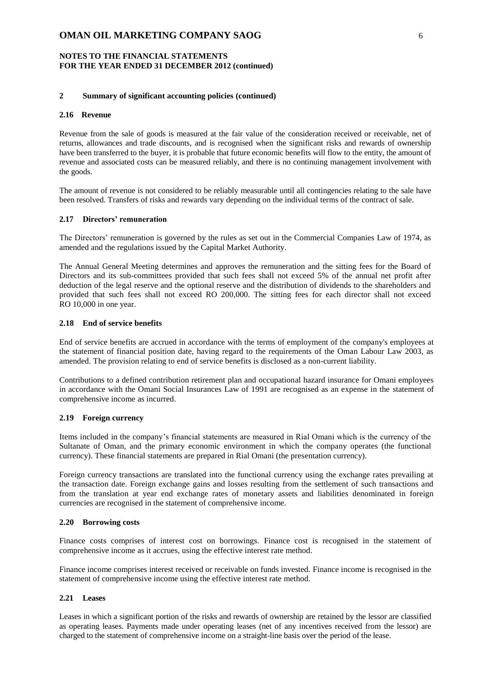### **NOTES TO THE FINANCIAL STATEMENTS FOR THE YEAR ENDED 31 DECEMBER 2012 (continued)**

#### **2 Summary of significant accounting policies (continued)**

### **2.16 Revenue**

Revenue from the sale of goods is measured at the fair value of the consideration received or receivable, net of returns, allowances and trade discounts, and is recognised when the significant risks and rewards of ownership have been transferred to the buyer, it is probable that future economic benefits will flow to the entity, the amount of revenue and associated costs can be measured reliably, and there is no continuing management involvement with the goods.

The amount of revenue is not considered to be reliably measurable until all contingencies relating to the sale have been resolved. Transfers of risks and rewards vary depending on the individual terms of the contract of sale.

#### **2.17 Directors' remuneration**

The Directors' remuneration is governed by the rules as set out in the Commercial Companies Law of 1974, as amended and the regulations issued by the Capital Market Authority.

The Annual General Meeting determines and approves the remuneration and the sitting fees for the Board of Directors and its sub-committees provided that such fees shall not exceed 5% of the annual net profit after deduction of the legal reserve and the optional reserve and the distribution of dividends to the shareholders and provided that such fees shall not exceed RO 200,000. The sitting fees for each director shall not exceed RO 10,000 in one year.

#### **2.18 End of service benefits**

End of service benefits are accrued in accordance with the terms of employment of the company's employees at the statement of financial position date, having regard to the requirements of the Oman Labour Law 2003, as amended. The provision relating to end of service benefits is disclosed as a non-current liability.

Contributions to a defined contribution retirement plan and occupational hazard insurance for Omani employees in accordance with the Omani Social Insurances Law of 1991 are recognised as an expense in the statement of comprehensive income as incurred.

### **2.19 Foreign currency**

Items included in the company's financial statements are measured in Rial Omani which is the currency of the Sultanate of Oman, and the primary economic environment in which the company operates (the functional currency). These financial statements are prepared in Rial Omani (the presentation currency).

Foreign currency transactions are translated into the functional currency using the exchange rates prevailing at the transaction date. Foreign exchange gains and losses resulting from the settlement of such transactions and from the translation at year end exchange rates of monetary assets and liabilities denominated in foreign currencies are recognised in the statement of comprehensive income.

#### **2.20 Borrowing costs**

Finance costs comprises of interest cost on borrowings. Finance cost is recognised in the statement of comprehensive income as it accrues, using the effective interest rate method.

Finance income comprises interest received or receivable on funds invested. Finance income is recognised in the statement of comprehensive income using the effective interest rate method.

#### **2.21 Leases**

Leases in which a significant portion of the risks and rewards of ownership are retained by the lessor are classified as operating leases. Payments made under operating leases (net of any incentives received from the lessor) are charged to the statement of comprehensive income on a straight-line basis over the period of the lease.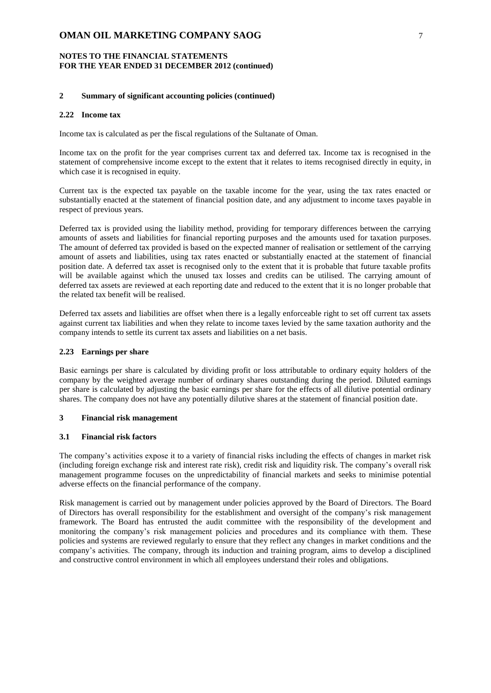### **NOTES TO THE FINANCIAL STATEMENTS FOR THE YEAR ENDED 31 DECEMBER 2012 (continued)**

#### **2 Summary of significant accounting policies (continued)**

### **2.22 Income tax**

Income tax is calculated as per the fiscal regulations of the Sultanate of Oman.

Income tax on the profit for the year comprises current tax and deferred tax. Income tax is recognised in the statement of comprehensive income except to the extent that it relates to items recognised directly in equity, in which case it is recognised in equity.

Current tax is the expected tax payable on the taxable income for the year, using the tax rates enacted or substantially enacted at the statement of financial position date, and any adjustment to income taxes payable in respect of previous years.

Deferred tax is provided using the liability method, providing for temporary differences between the carrying amounts of assets and liabilities for financial reporting purposes and the amounts used for taxation purposes. The amount of deferred tax provided is based on the expected manner of realisation or settlement of the carrying amount of assets and liabilities, using tax rates enacted or substantially enacted at the statement of financial position date. A deferred tax asset is recognised only to the extent that it is probable that future taxable profits will be available against which the unused tax losses and credits can be utilised. The carrying amount of deferred tax assets are reviewed at each reporting date and reduced to the extent that it is no longer probable that the related tax benefit will be realised.

Deferred tax assets and liabilities are offset when there is a legally enforceable right to set off current tax assets against current tax liabilities and when they relate to income taxes levied by the same taxation authority and the company intends to settle its current tax assets and liabilities on a net basis.

## **2.23 Earnings per share**

Basic earnings per share is calculated by dividing profit or loss attributable to ordinary equity holders of the company by the weighted average number of ordinary shares outstanding during the period. Diluted earnings per share is calculated by adjusting the basic earnings per share for the effects of all dilutive potential ordinary shares. The company does not have any potentially dilutive shares at the statement of financial position date.

### **3 Financial risk management**

### **3.1 Financial risk factors**

The company's activities expose it to a variety of financial risks including the effects of changes in market risk (including foreign exchange risk and interest rate risk), credit risk and liquidity risk. The company's overall risk management programme focuses on the unpredictability of financial markets and seeks to minimise potential adverse effects on the financial performance of the company.

Risk management is carried out by management under policies approved by the Board of Directors. The Board of Directors has overall responsibility for the establishment and oversight of the company's risk management framework. The Board has entrusted the audit committee with the responsibility of the development and monitoring the company's risk management policies and procedures and its compliance with them. These policies and systems are reviewed regularly to ensure that they reflect any changes in market conditions and the company's activities. The company, through its induction and training program, aims to develop a disciplined and constructive control environment in which all employees understand their roles and obligations.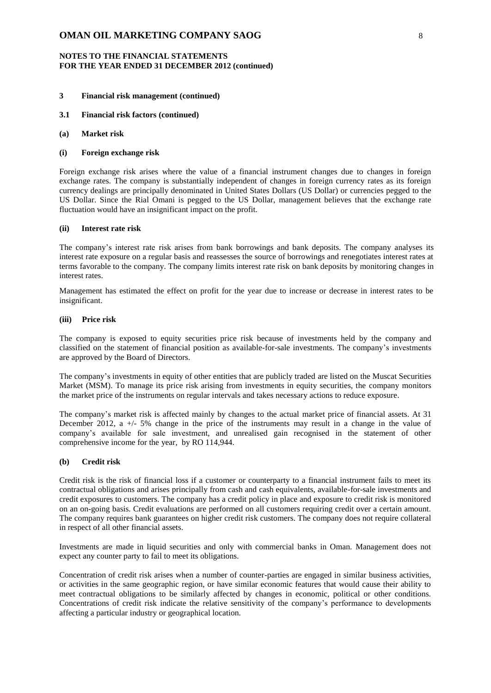### **NOTES TO THE FINANCIAL STATEMENTS FOR THE YEAR ENDED 31 DECEMBER 2012 (continued)**

## **3 Financial risk management (continued)**

- **3.1 Financial risk factors (continued)**
- **(a) Market risk**

#### **(i) Foreign exchange risk**

Foreign exchange risk arises where the value of a financial instrument changes due to changes in foreign exchange rates. The company is substantially independent of changes in foreign currency rates as its foreign currency dealings are principally denominated in United States Dollars (US Dollar) or currencies pegged to the US Dollar. Since the Rial Omani is pegged to the US Dollar, management believes that the exchange rate fluctuation would have an insignificant impact on the profit.

### **(ii) Interest rate risk**

The company's interest rate risk arises from bank borrowings and bank deposits. The company analyses its interest rate exposure on a regular basis and reassesses the source of borrowings and renegotiates interest rates at terms favorable to the company. The company limits interest rate risk on bank deposits by monitoring changes in interest rates.

Management has estimated the effect on profit for the year due to increase or decrease in interest rates to be insignificant.

#### **(iii) Price risk**

The company is exposed to equity securities price risk because of investments held by the company and classified on the statement of financial position as available-for-sale investments. The company's investments are approved by the Board of Directors.

The company's investments in equity of other entities that are publicly traded are listed on the Muscat Securities Market (MSM). To manage its price risk arising from investments in equity securities, the company monitors the market price of the instruments on regular intervals and takes necessary actions to reduce exposure.

The company's market risk is affected mainly by changes to the actual market price of financial assets. At 31 December 2012, a +/- 5% change in the price of the instruments may result in a change in the value of company's available for sale investment, and unrealised gain recognised in the statement of other comprehensive income for the year, by RO 114,944.

#### **(b) Credit risk**

Credit risk is the risk of financial loss if a customer or counterparty to a financial instrument fails to meet its contractual obligations and arises principally from cash and cash equivalents, available-for-sale investments and credit exposures to customers. The company has a credit policy in place and exposure to credit risk is monitored on an on-going basis. Credit evaluations are performed on all customers requiring credit over a certain amount. The company requires bank guarantees on higher credit risk customers. The company does not require collateral in respect of all other financial assets.

Investments are made in liquid securities and only with commercial banks in Oman. Management does not expect any counter party to fail to meet its obligations.

Concentration of credit risk arises when a number of counter-parties are engaged in similar business activities, or activities in the same geographic region, or have similar economic features that would cause their ability to meet contractual obligations to be similarly affected by changes in economic, political or other conditions. Concentrations of credit risk indicate the relative sensitivity of the company's performance to developments affecting a particular industry or geographical location.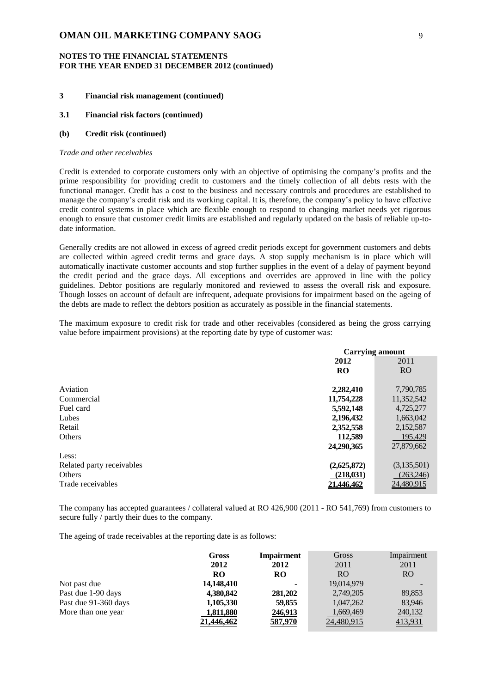### **NOTES TO THE FINANCIAL STATEMENTS FOR THE YEAR ENDED 31 DECEMBER 2012 (continued)**

# **3 Financial risk management (continued)**

### **3.1 Financial risk factors (continued)**

#### **(b) Credit risk (continued)**

#### *Trade and other receivables*

Credit is extended to corporate customers only with an objective of optimising the company's profits and the prime responsibility for providing credit to customers and the timely collection of all debts rests with the functional manager. Credit has a cost to the business and necessary controls and procedures are established to manage the company's credit risk and its working capital. It is, therefore, the company's policy to have effective credit control systems in place which are flexible enough to respond to changing market needs yet rigorous enough to ensure that customer credit limits are established and regularly updated on the basis of reliable up-todate information.

Generally credits are not allowed in excess of agreed credit periods except for government customers and debts are collected within agreed credit terms and grace days. A stop supply mechanism is in place which will automatically inactivate customer accounts and stop further supplies in the event of a delay of payment beyond the credit period and the grace days. All exceptions and overrides are approved in line with the policy guidelines. Debtor positions are regularly monitored and reviewed to assess the overall risk and exposure. Though losses on account of default are infrequent, adequate provisions for impairment based on the ageing of the debts are made to reflect the debtors position as accurately as possible in the financial statements.

The maximum exposure to credit risk for trade and other receivables (considered as being the gross carrying value before impairment provisions) at the reporting date by type of customer was:

|                           | <b>Carrying amount</b> |                 |  |
|---------------------------|------------------------|-----------------|--|
|                           | 2011<br>2012           |                 |  |
|                           | <b>RO</b>              | RO <sub>1</sub> |  |
| Aviation                  | 2,282,410              | 7,790,785       |  |
| Commercial                | 11,754,228             | 11,352,542      |  |
| Fuel card                 | 5,592,148              | 4,725,277       |  |
| Lubes                     | 2,196,432              | 1,663,042       |  |
| Retail                    | 2,352,558              | 2,152,587       |  |
| Others                    | 112,589                | 195.429         |  |
|                           | 24,290,365             | 27,879,662      |  |
| Less:                     |                        |                 |  |
| Related party receivables | (2,625,872)            | (3,135,501)     |  |
| Others                    | (218, 031)             | (263, 246)      |  |
| Trade receivables         | 21.446.462             | 24,480,915      |  |

The company has accepted guarantees / collateral valued at RO 426,900 (2011 - RO 541,769) from customers to secure fully / partly their dues to the company.

The ageing of trade receivables at the reporting date is as follows:

|                      | Gross      | <b>Impairment</b> | Gross          | Impairment     |
|----------------------|------------|-------------------|----------------|----------------|
|                      | 2012       | 2012              | 2011           | 2011           |
|                      | RO.        | RO                | R <sub>O</sub> | R <sub>O</sub> |
| Not past due         | 14,148,410 | ۰                 | 19,014,979     |                |
| Past due 1-90 days   | 4,380,842  | 281,202           | 2,749,205      | 89,853         |
| Past due 91-360 days | 1,105,330  | 59,855            | 1,047,262      | 83,946         |
| More than one year   | 1,811,880  | 246,913           | 1,669,469      | 240,132        |
|                      | 21.446.462 | 587,970           | 24,480,915     | 413,931        |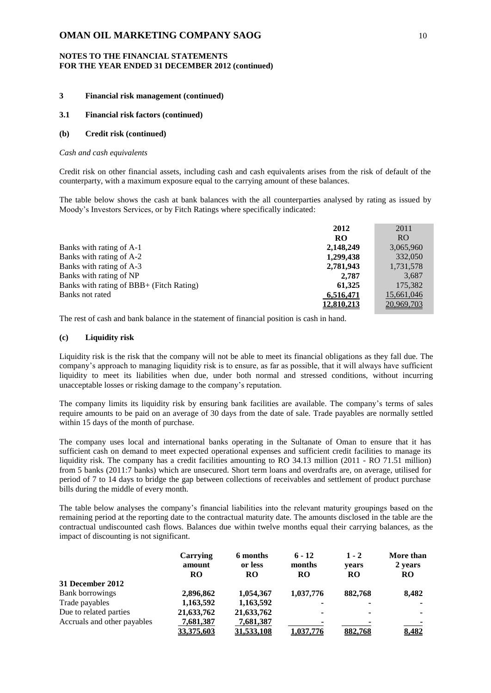## **NOTES TO THE FINANCIAL STATEMENTS FOR THE YEAR ENDED 31 DECEMBER 2012 (continued)**

## **3 Financial risk management (continued)**

### **3.1 Financial risk factors (continued)**

#### **(b) Credit risk (continued)**

#### *Cash and cash equivalents*

Credit risk on other financial assets, including cash and cash equivalents arises from the risk of default of the counterparty, with a maximum exposure equal to the carrying amount of these balances.

The table below shows the cash at bank balances with the all counterparties analysed by rating as issued by Moody's Investors Services, or by Fitch Ratings where specifically indicated:

|                                          | 2012       | 2011       |
|------------------------------------------|------------|------------|
|                                          | RO         | RO         |
| Banks with rating of A-1                 | 2,148,249  | 3,065,960  |
| Banks with rating of A-2                 | 1,299,438  | 332,050    |
| Banks with rating of A-3                 | 2,781,943  | 1,731,578  |
| Banks with rating of NP                  | 2.787      | 3,687      |
| Banks with rating of BBB+ (Fitch Rating) | 61.325     | 175,382    |
| Banks not rated                          | 6,516,471  | 15,661,046 |
|                                          | 12,810,213 | 20,969,703 |

The rest of cash and bank balance in the statement of financial position is cash in hand.

### **(c) Liquidity risk**

Liquidity risk is the risk that the company will not be able to meet its financial obligations as they fall due. The company's approach to managing liquidity risk is to ensure, as far as possible, that it will always have sufficient liquidity to meet its liabilities when due, under both normal and stressed conditions, without incurring unacceptable losses or risking damage to the company's reputation.

The company limits its liquidity risk by ensuring bank facilities are available. The company's terms of sales require amounts to be paid on an average of 30 days from the date of sale. Trade payables are normally settled within 15 days of the month of purchase.

The company uses local and international banks operating in the Sultanate of Oman to ensure that it has sufficient cash on demand to meet expected operational expenses and sufficient credit facilities to manage its liquidity risk. The company has a credit facilities amounting to RO 34.13 million (2011 - RO 71.51 million) from 5 banks (2011:7 banks) which are unsecured. Short term loans and overdrafts are, on average, utilised for period of 7 to 14 days to bridge the gap between collections of receivables and settlement of product purchase bills during the middle of every month.

The table below analyses the company's financial liabilities into the relevant maturity groupings based on the remaining period at the reporting date to the contractual maturity date. The amounts disclosed in the table are the contractual undiscounted cash flows. Balances due within twelve months equal their carrying balances, as the impact of discounting is not significant.

|                             | Carrying<br>amount<br><b>RO</b> | 6 months<br>or less<br><b>RO</b> | $6 - 12$<br>months<br><b>RO</b> | $1 - 2$<br>vears<br><b>RO</b> | More than<br>2 years<br>RO. |
|-----------------------------|---------------------------------|----------------------------------|---------------------------------|-------------------------------|-----------------------------|
| 31 December 2012            |                                 |                                  |                                 |                               |                             |
| Bank borrowings             | 2,896,862                       | 1,054,367                        | 1,037,776                       | 882,768                       | 8,482                       |
| Trade payables              | 1,163,592                       | 1,163,592                        | ۰                               |                               |                             |
| Due to related parties      | 21,633,762                      | 21,633,762                       | ۰                               | -                             | ۰                           |
| Accruals and other payables | 7,681,387                       | 7,681,387                        | ۰                               |                               |                             |
|                             | 33.375.603                      | 31.533.108                       | 1.037.776                       | 882,768                       | 8,482                       |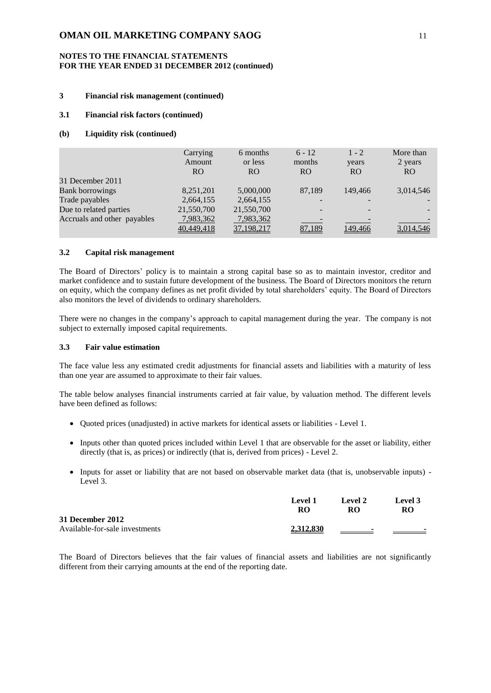### **NOTES TO THE FINANCIAL STATEMENTS FOR THE YEAR ENDED 31 DECEMBER 2012 (continued)**

## **3 Financial risk management (continued)**

### **3.1 Financial risk factors (continued)**

#### **(b) Liquidity risk (continued)**

|                             | Carrying<br>Amount<br><b>RO</b> | 6 months<br>or less<br><b>RO</b> | $6 - 12$<br>months<br><b>RO</b> | $1 - 2$<br>years<br>RO. | More than<br>2 years<br><b>RO</b> |
|-----------------------------|---------------------------------|----------------------------------|---------------------------------|-------------------------|-----------------------------------|
| 31 December 2011            |                                 |                                  |                                 |                         |                                   |
| <b>Bank borrowings</b>      | 8,251,201                       | 5,000,000                        | 87,189                          | 149,466                 | 3,014,546                         |
| Trade payables              | 2,664,155                       | 2,664,155                        |                                 |                         |                                   |
| Due to related parties      | 21,550,700                      | 21,550,700                       |                                 |                         |                                   |
| Accruals and other payables | 7,983,362                       | 7,983,362                        |                                 |                         |                                   |
|                             | 40,449,418                      | 37, 198, 217                     | 87,189                          | 149.466                 | 3.014.546                         |

#### **3.2 Capital risk management**

The Board of Directors' policy is to maintain a strong capital base so as to maintain investor, creditor and market confidence and to sustain future development of the business. The Board of Directors monitors the return on equity, which the company defines as net profit divided by total shareholders' equity. The Board of Directors also monitors the level of dividends to ordinary shareholders.

There were no changes in the company's approach to capital management during the year. The company is not subject to externally imposed capital requirements.

#### **3.3 Fair value estimation**

The face value less any estimated credit adjustments for financial assets and liabilities with a maturity of less than one year are assumed to approximate to their fair values.

The table below analyses financial instruments carried at fair value, by valuation method. The different levels have been defined as follows:

- Quoted prices (unadjusted) in active markets for identical assets or liabilities Level 1.
- Inputs other than quoted prices included within Level 1 that are observable for the asset or liability, either directly (that is, as prices) or indirectly (that is, derived from prices) - Level 2.
- Inputs for asset or liability that are not based on observable market data (that is, unobservable inputs) -Level 3.

|                                | Level 1<br>RO | <b>Level 2</b><br>RО     | <b>Level</b> 3<br><b>RO</b> |
|--------------------------------|---------------|--------------------------|-----------------------------|
| 31 December 2012               |               |                          |                             |
| Available-for-sale investments | 2,312,830     | $\overline{\phantom{a}}$ | $\sim$                      |

The Board of Directors believes that the fair values of financial assets and liabilities are not significantly different from their carrying amounts at the end of the reporting date.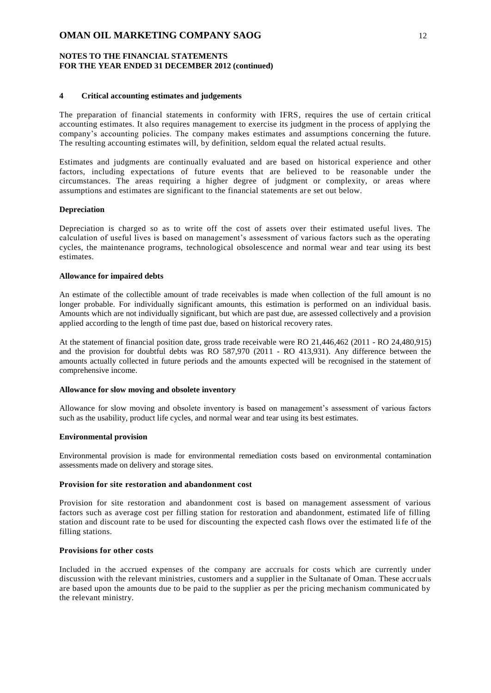### **NOTES TO THE FINANCIAL STATEMENTS FOR THE YEAR ENDED 31 DECEMBER 2012 (continued)**

#### **4 Critical accounting estimates and judgements**

The preparation of financial statements in conformity with IFRS, requires the use of certain critical accounting estimates. It also requires management to exercise its judgment in the process of applying the company's accounting policies. The company makes estimates and assumptions concerning the future. The resulting accounting estimates will, by definition, seldom equal the related actual results.

Estimates and judgments are continually evaluated and are based on historical experience and other factors, including expectations of future events that are believed to be reasonable under the circumstances. The areas requiring a higher degree of judgment or complexity, or areas where assumptions and estimates are significant to the financial statements are set out below.

#### **Depreciation**

Depreciation is charged so as to write off the cost of assets over their estimated useful lives. The calculation of useful lives is based on management's assessment of various factors such as the operating cycles, the maintenance programs, technological obsolescence and normal wear and tear using its best estimates.

#### **Allowance for impaired debts**

An estimate of the collectible amount of trade receivables is made when collection of the full amount is no longer probable. For individually significant amounts, this estimation is performed on an individual basis. Amounts which are not individually significant, but which are past due, are assessed collectively and a provision applied according to the length of time past due, based on historical recovery rates.

At the statement of financial position date, gross trade receivable were RO 21,446,462 (2011 - RO 24,480,915) and the provision for doubtful debts was RO 587,970 (2011 - RO 413,931). Any difference between the amounts actually collected in future periods and the amounts expected will be recognised in the statement of comprehensive income.

#### **Allowance for slow moving and obsolete inventory**

Allowance for slow moving and obsolete inventory is based on management's assessment of various factors such as the usability, product life cycles, and normal wear and tear using its best estimates.

### **Environmental provision**

Environmental provision is made for environmental remediation costs based on environmental contamination assessments made on delivery and storage sites.

### **Provision for site restoration and abandonment cost**

Provision for site restoration and abandonment cost is based on management assessment of various factors such as average cost per filling station for restoration and abandonment, estimated life of filling station and discount rate to be used for discounting the expected cash flows over the estimated life of the filling stations.

#### **Provisions for other costs**

Included in the accrued expenses of the company are accruals for costs which are currently under discussion with the relevant ministries, customers and a supplier in the Sultanate of Oman. These accr uals are based upon the amounts due to be paid to the supplier as per the pricing mechanism communicated by the relevant ministry.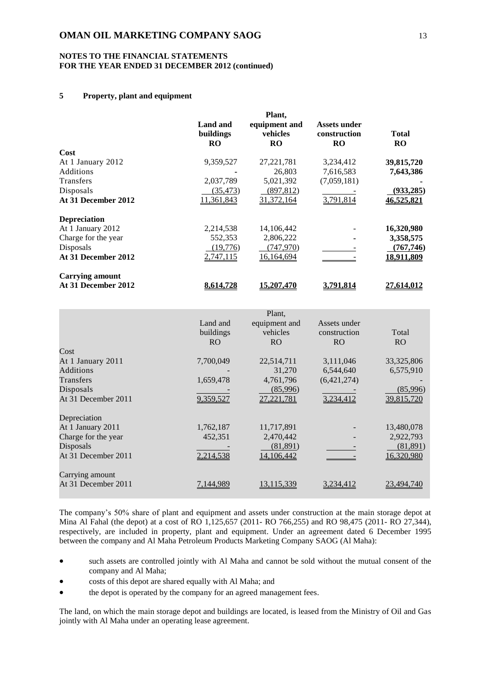### **NOTES TO THE FINANCIAL STATEMENTS FOR THE YEAR ENDED 31 DECEMBER 2012 (continued)**

## **5 Property, plant and equipment**

|                        |                                    | Plant,                                 |                                           |                    |
|------------------------|------------------------------------|----------------------------------------|-------------------------------------------|--------------------|
|                        | Land and<br>buildings<br><b>RO</b> | equipment and<br>vehicles<br><b>RO</b> | Assets under<br>construction<br><b>RO</b> | Total<br><b>RO</b> |
| Cost                   |                                    |                                        |                                           |                    |
| At 1 January 2012      | 9,359,527                          | 27, 221, 781                           | 3,234,412                                 | 39,815,720         |
| <b>Additions</b>       |                                    | 26,803                                 | 7,616,583                                 | 7,643,386          |
| <b>Transfers</b>       | 2,037,789                          | 5,021,392                              | (7,059,181)                               |                    |
| Disposals              | (35, 473)                          | (897, 812)                             |                                           | (933, 285)         |
| At 31 December 2012    | 11,361,843                         | 31,372,164                             | 3,791,814                                 | 46,525,821         |
| <b>Depreciation</b>    |                                    |                                        |                                           |                    |
| At 1 January 2012      | 2,214,538                          | 14, 106, 442                           |                                           | 16,320,980         |
| Charge for the year    | 552,353                            | 2,806,222                              | ۰                                         | 3,358,575          |
| Disposals              | (19,776)                           | (747,970)                              |                                           | (767, 746)         |
| At 31 December 2012    | 2,747,115                          | 16,164,694                             |                                           | 18,911,809         |
| <b>Carrying amount</b> |                                    |                                        |                                           |                    |
| At 31 December 2012    | 8,614,728                          | 15.207.470                             | 3,791,814                                 | 27,614,012         |

|                     |                | Plant,            |                |                |
|---------------------|----------------|-------------------|----------------|----------------|
|                     | Land and       | equipment and     | Assets under   |                |
|                     | buildings      | vehicles          | construction   | Total          |
|                     | R <sub>O</sub> | R <sub>O</sub>    | R <sub>O</sub> | R <sub>O</sub> |
| Cost                |                |                   |                |                |
| At 1 January 2011   | 7,700,049      | 22,514,711        | 3,111,046      | 33, 325, 806   |
| <b>Additions</b>    |                | 31,270            | 6,544,640      | 6,575,910      |
| Transfers           | 1,659,478      | 4,761,796         | (6,421,274)    |                |
| Disposals           |                | (85,996)          |                | (85,996)       |
| At 31 December 2011 | 9,359,527      | <u>27,221,781</u> | 3,234,412      | 39,815,720     |
| Depreciation        |                |                   |                |                |
| At 1 January 2011   | 1,762,187      | 11,717,891        |                | 13,480,078     |
| Charge for the year | 452,351        | 2,470,442         |                | 2,922,793      |
| Disposals           |                | (81,891)          |                | (81, 891)      |
| At 31 December 2011 | 2,214,538      | 14,106,442        |                | 16,320,980     |
| Carrying amount     |                |                   |                |                |
| At 31 December 2011 | 7,144,989      | 13, 115, 339      | 3.234,412      | 23.494.740     |

The company's 50% share of plant and equipment and assets under construction at the main storage depot at Mina Al Fahal (the depot) at a cost of RO 1,125,657 (2011- RO 766,255) and RO 98,475 (2011- RO 27,344), respectively, are included in property, plant and equipment. Under an agreement dated 6 December 1995 between the company and Al Maha Petroleum Products Marketing Company SAOG (Al Maha):

- such assets are controlled jointly with Al Maha and cannot be sold without the mutual consent of the company and Al Maha;
- costs of this depot are shared equally with Al Maha; and
- the depot is operated by the company for an agreed management fees.

The land, on which the main storage depot and buildings are located, is leased from the Ministry of Oil and Gas jointly with Al Maha under an operating lease agreement.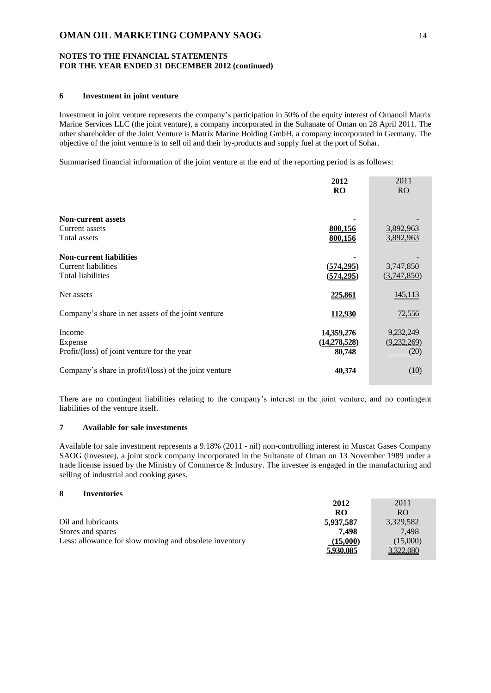### **NOTES TO THE FINANCIAL STATEMENTS FOR THE YEAR ENDED 31 DECEMBER 2012 (continued)**

## **6 Investment in joint venture**

Investment in joint venture represents the company's participation in 50% of the equity interest of Omanoil Matrix Marine Services LLC (the joint venture), a company incorporated in the Sultanate of Oman on 28 April 2011. The other shareholder of the Joint Venture is Matrix Marine Holding GmbH, a company incorporated in Germany. The objective of the joint venture is to sell oil and their by-products and supply fuel at the port of Sohar.

Summarised financial information of the joint venture at the end of the reporting period is as follows:

|                                                       | 2012<br><b>RO</b> | 2011<br><b>RO</b> |
|-------------------------------------------------------|-------------------|-------------------|
| <b>Non-current assets</b>                             |                   |                   |
| Current assets                                        | 800,156           | 3,892,963         |
| Total assets                                          | 800,156           | 3,892,963         |
| <b>Non-current liabilities</b>                        |                   |                   |
| <b>Current liabilities</b>                            | (574, 295)        | 3,747,850         |
| <b>Total liabilities</b>                              | (574, 295)        | (3,747,850)       |
| Net assets                                            | 225,861           | 145,113           |
| Company's share in net assets of the joint venture    | 112,930           | 72,556            |
| Income                                                | 14,359,276        | 9,232,249         |
| Expense                                               | (14,278,528)      | (9,232,269)       |
| Profit/(loss) of joint venture for the year           | 80,748            | (20)              |
| Company's share in profit/(loss) of the joint venture | 40.374            | <u>(10)</u>       |

There are no contingent liabilities relating to the company's interest in the joint venture, and no contingent liabilities of the venture itself.

## **7 Available for sale investments**

Available for sale investment represents a 9.18% (2011 - nil) non-controlling interest in Muscat Gases Company SAOG (investee), a joint stock company incorporated in the Sultanate of Oman on 13 November 1989 under a trade license issued by the Ministry of Commerce & Industry. The investee is engaged in the manufacturing and selling of industrial and cooking gases.

### **8 Inventories**

|                                                        | 2012      | 2011             |
|--------------------------------------------------------|-----------|------------------|
|                                                        | RO        | R <sub>O</sub>   |
| Oil and lubricants                                     | 5,937,587 | 3,329,582        |
| Stores and spares                                      | 7.498     | 7.498            |
| Less: allowance for slow moving and obsolete inventory | (15,000)  | (15,000)         |
|                                                        | 5,930,085 | <u>3,322,080</u> |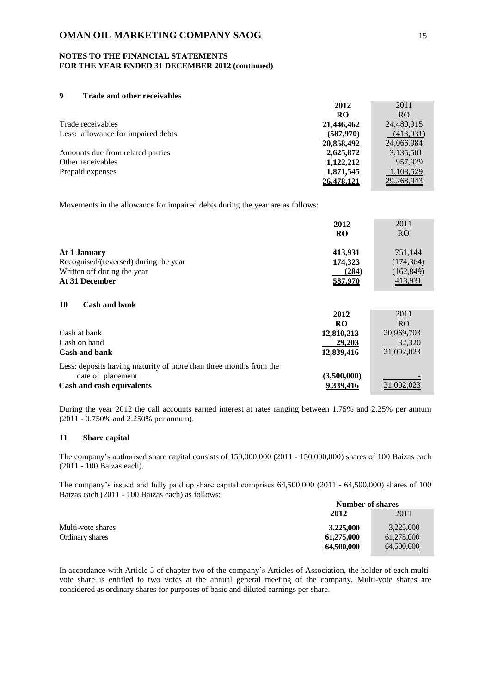### **NOTES TO THE FINANCIAL STATEMENTS FOR THE YEAR ENDED 31 DECEMBER 2012 (continued)**

### **9 Trade and other receivables**

|                                    | 2012              | 2011       |
|------------------------------------|-------------------|------------|
|                                    | <b>RO</b>         | RO.        |
| Trade receivables                  | 21,446,462        | 24,480,915 |
| Less: allowance for impaired debts | (587,970)         | (413,931)  |
|                                    | 20,858,492        | 24,066,984 |
| Amounts due from related parties   | 2,625,872         | 3,135,501  |
| Other receivables                  | 1,122,212         | 957.929    |
| Prepaid expenses                   | 1,871,545         | 1,108,529  |
|                                    | <u>26,478,121</u> | 29,268,943 |

Movements in the allowance for impaired debts during the year are as follows:

|                                       | 2012       | 2011       |
|---------------------------------------|------------|------------|
|                                       | <b>RO</b>  | <b>RO</b>  |
| At 1 January                          | 413,931    | 751,144    |
| Recognised/(reversed) during the year | 174,323    | (174, 364) |
| Written off during the year           | (284)      | (162, 849) |
| At 31 December                        | 587,970    | 413,931    |
| 10<br><b>Cash and bank</b>            |            |            |
|                                       | 2012       | 2011       |
|                                       | <b>RO</b>  | <b>RO</b>  |
| Cash at bank                          | 12,810,213 | 20,969,703 |
| Cash on hand                          | 29,203     | 32,320     |
| Cash and bank                         | 12.839.416 | 21.002.023 |

| Less: deposits having maturity of more than three months from the |             |            |
|-------------------------------------------------------------------|-------------|------------|
| date of placement                                                 | (3.500.000) | -          |
| Cash and cash equivalents                                         | 9,339,416   | 21,002,023 |

During the year 2012 the call accounts earned interest at rates ranging between 1.75% and 2.25% per annum (2011 - 0.750% and 2.250% per annum).

## **11 Share capital**

The company's authorised share capital consists of 150,000,000 (2011 - 150,000,000) shares of 100 Baizas each (2011 - 100 Baizas each).

The company's issued and fully paid up share capital comprises 64,500,000 (2011 - 64,500,000) shares of 100 Baizas each (2011 - 100 Baizas each) as follows:

|                   | <b>Number of shares</b> |            |
|-------------------|-------------------------|------------|
|                   | 2012                    | 2011       |
| Multi-vote shares | 3.225,000               | 3,225,000  |
| Ordinary shares   | 61,275,000              | 61,275,000 |
|                   | 64.500.000              | 64,500,000 |

In accordance with Article 5 of chapter two of the company's Articles of Association, the holder of each multivote share is entitled to two votes at the annual general meeting of the company. Multi-vote shares are considered as ordinary shares for purposes of basic and diluted earnings per share.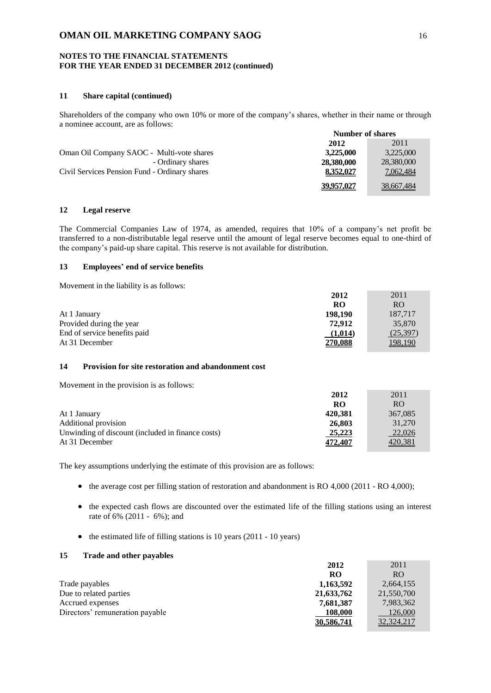### **NOTES TO THE FINANCIAL STATEMENTS FOR THE YEAR ENDED 31 DECEMBER 2012 (continued)**

# **11 Share capital (continued)**

Shareholders of the company who own 10% or more of the company's shares, whether in their name or through a nominee account, are as follows: **Number of shares**

|                                               | Number of shares |                   |
|-----------------------------------------------|------------------|-------------------|
|                                               | 2012             | 2011              |
| Oman Oil Company SAOC - Multi-vote shares     | 3,225,000        | 3,225,000         |
| - Ordinary shares                             | 28,380,000       | 28,380,000        |
| Civil Services Pension Fund - Ordinary shares | 8,352,027        | 7,062,484         |
|                                               | 39,957,027       | <u>38,667,484</u> |

#### **12 Legal reserve**

The Commercial Companies Law of 1974, as amended, requires that 10% of a company's net profit be transferred to a non-distributable legal reserve until the amount of legal reserve becomes equal to one-third of the company's paid-up share capital. This reserve is not available for distribution.

# **13 Employees' end of service benefits**

Movement in the liability is as follows:

|                              | 2012    | 2011     |
|------------------------------|---------|----------|
|                              | RO      | RO.      |
| At 1 January                 | 198,190 | 187.717  |
| Provided during the year     | 72.912  | 35,870   |
| End of service benefits paid | (1,014) | (25,397) |
| At 31 December               | 270,088 | 198,190  |

# **14 Provision for site restoration and abandonment cost**

Movement in the provision is as follows:

|                                                   | 2012    | 2011           |
|---------------------------------------------------|---------|----------------|
|                                                   | RO      | RO.            |
| At 1 January                                      | 420.381 | 367,085        |
| Additional provision                              | 26,803  | 31,270         |
| Unwinding of discount (included in finance costs) | 25,223  | 22,026         |
| At 31 December                                    | 472.407 | <u>420,381</u> |

The key assumptions underlying the estimate of this provision are as follows:

- the average cost per filling station of restoration and abandonment is RO 4,000 (2011 RO 4,000);
- the expected cash flows are discounted over the estimated life of the filling stations using an interest rate of 6% (2011 - 6%); and
- $\bullet$  the estimated life of filling stations is 10 years (2011 10 years)

### **15 Trade and other payables**

|                                 | 2012       | 2011         |
|---------------------------------|------------|--------------|
|                                 | <b>RO</b>  | RO.          |
| Trade payables                  | 1,163,592  | 2,664,155    |
| Due to related parties          | 21,633,762 | 21,550,700   |
| Accrued expenses                | 7,681,387  | 7,983,362    |
| Directors' remuneration payable | 108,000    | 126,000      |
|                                 | 30.586.741 | 32, 324, 217 |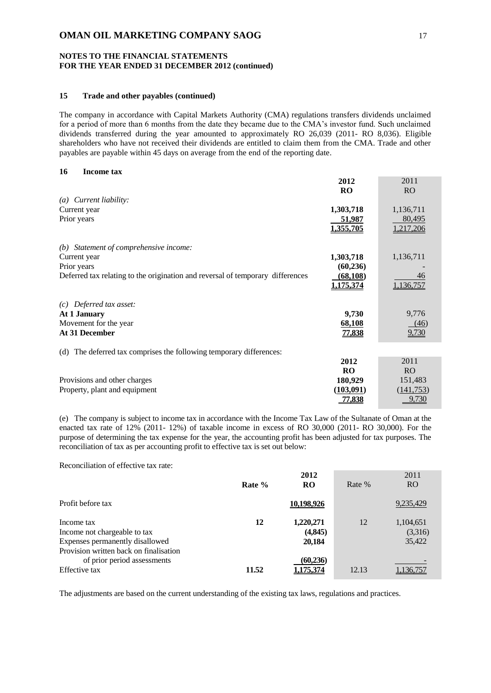### **NOTES TO THE FINANCIAL STATEMENTS FOR THE YEAR ENDED 31 DECEMBER 2012 (continued)**

## **15 Trade and other payables (continued)**

The company in accordance with Capital Markets Authority (CMA) regulations transfers dividends unclaimed for a period of more than 6 months from the date they became due to the CMA's investor fund. Such unclaimed dividends transferred during the year amounted to approximately RO 26,039 (2011- RO 8,036). Eligible shareholders who have not received their dividends are entitled to claim them from the CMA. Trade and other payables are payable within 45 days on average from the end of the reporting date.

## **16 Income tax**

|                                                                                | 2012             | 2011           |
|--------------------------------------------------------------------------------|------------------|----------------|
|                                                                                | <b>RO</b>        | R <sub>O</sub> |
| $(a)$ Current liability:                                                       |                  |                |
| Current year                                                                   | 1,303,718        | 1,136,711      |
| Prior years                                                                    | 51,987           | 80,495         |
|                                                                                | 1,355,705        | 1,217,206      |
| Statement of comprehensive income:<br>(b)                                      |                  |                |
| Current year                                                                   | 1,303,718        | 1,136,711      |
| Prior years                                                                    | (60, 236)        |                |
| Deferred tax relating to the origination and reversal of temporary differences | (68, 108)        | 46             |
|                                                                                | <u>1,175,374</u> | 1,136,757      |
| Deferred tax asset:<br>(c)                                                     |                  |                |
| At 1 January                                                                   | 9,730            | 9,776          |
| Movement for the year                                                          | 68,108           | (46)           |
| At 31 December                                                                 | 77,838           | 9,730          |
| The deferred tax comprises the following temporary differences:<br>(d)         |                  |                |
|                                                                                | 2012             | 2011           |
|                                                                                | <b>RO</b>        | R <sub>O</sub> |
| Provisions and other charges                                                   | 180,929          | 151,483        |
| Property, plant and equipment                                                  | (103, 091)       | (141, 753)     |
|                                                                                | 77,838           | 9,730          |

(e) The company is subject to income tax in accordance with the Income Tax Law of the Sultanate of Oman at the enacted tax rate of 12% (2011- 12%) of taxable income in excess of RO 30,000 (2011- RO 30,000). For the purpose of determining the tax expense for the year, the accounting profit has been adjusted for tax purposes. The reconciliation of tax as per accounting profit to effective tax is set out below:

Reconciliation of effective tax rate:

|                                                                                                                         | Rate % | 2012<br><b>RO</b>               | Rate % | 2011<br><b>RO</b>              |
|-------------------------------------------------------------------------------------------------------------------------|--------|---------------------------------|--------|--------------------------------|
| Profit before tax                                                                                                       |        | 10,198,926                      |        | 9,235,429                      |
| Income tax<br>Income not chargeable to tax<br>Expenses permanently disallowed<br>Provision written back on finalisation | 12     | 1,220,271<br>(4, 845)<br>20,184 | 12     | 1,104,651<br>(3,316)<br>35,422 |
| of prior period assessments<br>Effective tax                                                                            | 11.52  | (60, 236)<br>175.374            | 12.13  | .136.757                       |

The adjustments are based on the current understanding of the existing tax laws, regulations and practices.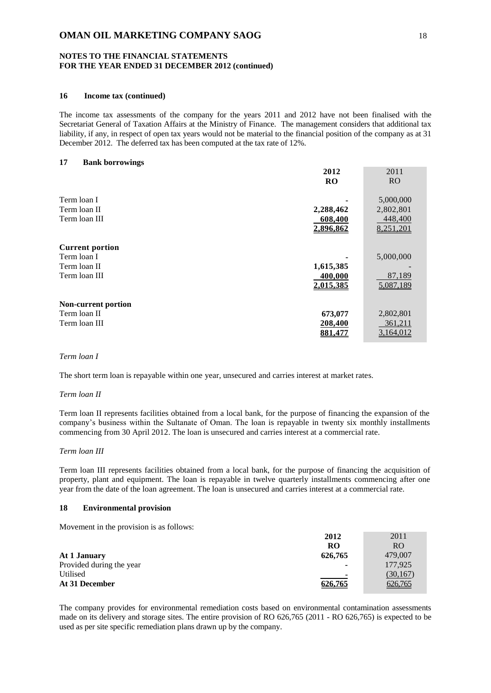### **NOTES TO THE FINANCIAL STATEMENTS FOR THE YEAR ENDED 31 DECEMBER 2012 (continued)**

## **16 Income tax (continued)**

The income tax assessments of the company for the years 2011 and 2012 have not been finalised with the Secretariat General of Taxation Affairs at the Ministry of Finance. The management considers that additional tax liability, if any, in respect of open tax years would not be material to the financial position of the company as at 31 December 2012. The deferred tax has been computed at the tax rate of 12%.

#### **17 Bank borrowings**

| 2012      | 2011           |
|-----------|----------------|
| <b>RO</b> | R <sub>O</sub> |
|           | 5,000,000      |
| 2,288,462 | 2,802,801      |
| 608,400   | 448,400        |
| 2,896,862 | 8,251,201      |
|           |                |
|           | 5,000,000      |
| 1,615,385 |                |
| 400,000   | 87,189         |
| 2,015,385 | 5,087,189      |
|           |                |
|           | 2,802,801      |
| 208,400   | 361,211        |
| 881.47    | 3,164,012      |
|           | 673,077        |

## *Term loan I*

The short term loan is repayable within one year, unsecured and carries interest at market rates.

#### *Term loan II*

Term loan II represents facilities obtained from a local bank, for the purpose of financing the expansion of the company's business within the Sultanate of Oman. The loan is repayable in twenty six monthly installments commencing from 30 April 2012. The loan is unsecured and carries interest at a commercial rate.

### *Term loan III*

Term loan III represents facilities obtained from a local bank, for the purpose of financing the acquisition of property, plant and equipment. The loan is repayable in twelve quarterly installments commencing after one year from the date of the loan agreement. The loan is unsecured and carries interest at a commercial rate.

#### **18 Environmental provision**

Movement in the provision is as follows:

|                          | 2012                     | 2011           |
|--------------------------|--------------------------|----------------|
|                          | RO                       | R <sub>O</sub> |
| At 1 January             | 626,765                  | 479,007        |
| Provided during the year | $\overline{\phantom{a}}$ | 177,925        |
| Utilised                 | $\overline{\phantom{0}}$ | (30, 167)      |
| At 31 December           | 626,765                  | 626,765        |

The company provides for environmental remediation costs based on environmental contamination assessments made on its delivery and storage sites. The entire provision of RO 626,765 (2011 - RO 626,765) is expected to be used as per site specific remediation plans drawn up by the company.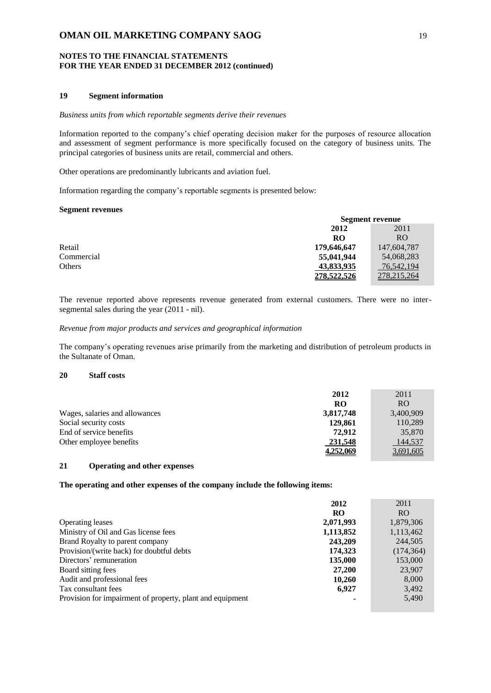### **NOTES TO THE FINANCIAL STATEMENTS FOR THE YEAR ENDED 31 DECEMBER 2012 (continued)**

### **19 Segment information**

#### *Business units from which reportable segments derive their revenues*

Information reported to the company's chief operating decision maker for the purposes of resource allocation and assessment of segment performance is more specifically focused on the category of business units. The principal categories of business units are retail, commercial and others.

Other operations are predominantly lubricants and aviation fuel.

Information regarding the company's reportable segments is presented below:

#### **Segment revenues**

|            | Segment revenue |                |
|------------|-----------------|----------------|
|            | 2012<br>2011    |                |
|            | RO              | R <sub>O</sub> |
| Retail     | 179,646,647     | 147,604,787    |
| Commercial | 55,041,944      | 54,068,283     |
| Others     | 43,833,935      | 76,542,194     |
|            | 278.522.526     | 278,215,264    |

The revenue reported above represents revenue generated from external customers. There were no intersegmental sales during the year (2011 - nil).

### *Revenue from major products and services and geographical information*

The company's operating revenues arise primarily from the marketing and distribution of petroleum products in the Sultanate of Oman.

### **20 Staff costs**

|                                | 2012      | 2011           |
|--------------------------------|-----------|----------------|
|                                | RO        | R <sub>O</sub> |
| Wages, salaries and allowances | 3,817,748 | 3,400,909      |
| Social security costs          | 129,861   | 110,289        |
| End of service benefits        | 72.912    | 35,870         |
| Other employee benefits        | 231,548   | 144,537        |
|                                | 4,252,069 | 3,691,605      |

# **21 Operating and other expenses**

# **The operating and other expenses of the company include the following items:**

|                                                           | 2012      | 2011           |
|-----------------------------------------------------------|-----------|----------------|
|                                                           | <b>RO</b> | R <sub>O</sub> |
| <b>Operating leases</b>                                   | 2,071,993 | 1,879,306      |
| Ministry of Oil and Gas license fees                      | 1,113,852 | 1,113,462      |
| Brand Royalty to parent company                           | 243,209   | 244,505        |
| Provision/(write back) for doubtful debts                 | 174,323   | (174, 364)     |
| Directors' remuneration                                   | 135,000   | 153,000        |
| Board sitting fees                                        | 27,200    | 23,907         |
| Audit and professional fees                               | 10,260    | 8,000          |
| Tax consultant fees                                       | 6.927     | 3,492          |
| Provision for impairment of property, plant and equipment |           | 5,490          |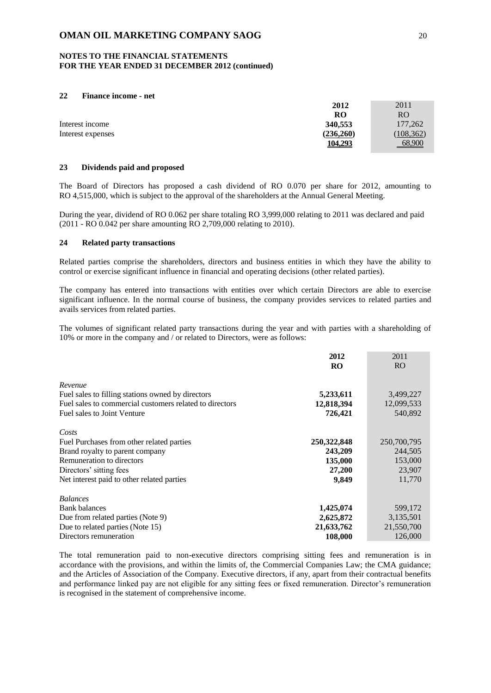#### **NOTES TO THE FINANCIAL STATEMENTS FOR THE YEAR ENDED 31 DECEMBER 2012 (continued)**

### **22 Finance income - net**

|                   | 2012           | 2011       |
|-------------------|----------------|------------|
|                   | RO             | RO         |
| Interest income   | 340,553        | 177,262    |
| Interest expenses | (236, 260)     | (108, 362) |
|                   | <u>104,293</u> | 68,900     |

## **23 Dividends paid and proposed**

The Board of Directors has proposed a cash dividend of RO 0.070 per share for 2012, amounting to RO 4,515,000, which is subject to the approval of the shareholders at the Annual General Meeting.

During the year, dividend of RO 0.062 per share totaling RO 3,999,000 relating to 2011 was declared and paid (2011 - RO 0.042 per share amounting RO 2,709,000 relating to 2010).

#### **24 Related party transactions**

Related parties comprise the shareholders, directors and business entities in which they have the ability to control or exercise significant influence in financial and operating decisions (other related parties).

The company has entered into transactions with entities over which certain Directors are able to exercise significant influence. In the normal course of business, the company provides services to related parties and avails services from related parties.

The volumes of significant related party transactions during the year and with parties with a shareholding of 10% or more in the company and / or related to Directors, were as follows:

|                                                         | 2012        | 2011            |
|---------------------------------------------------------|-------------|-----------------|
|                                                         | <b>RO</b>   | RO <sub>1</sub> |
| Revenue                                                 |             |                 |
| Fuel sales to filling stations owned by directors       | 5,233,611   | 3,499,227       |
| Fuel sales to commercial customers related to directors | 12,818,394  | 12,099,533      |
| Fuel sales to Joint Venture                             | 726,421     | 540,892         |
| Costs                                                   |             |                 |
| Fuel Purchases from other related parties               | 250,322,848 | 250,700,795     |
| Brand royalty to parent company                         | 243,209     | 244,505         |
| Remuneration to directors                               | 135,000     | 153,000         |
| Directors' sitting fees                                 | 27,200      | 23,907          |
| Net interest paid to other related parties              | 9,849       | 11,770          |
| <b>Balances</b>                                         |             |                 |
| <b>Bank balances</b>                                    | 1,425,074   | 599,172         |
| Due from related parties (Note 9)                       | 2,625,872   | 3,135,501       |
| Due to related parties (Note 15)                        | 21,633,762  | 21,550,700      |
| Directors remuneration                                  | 108,000     | 126,000         |

The total remuneration paid to non-executive directors comprising sitting fees and remuneration is in accordance with the provisions, and within the limits of, the Commercial Companies Law; the CMA guidance; and the Articles of Association of the Company. Executive directors, if any, apart from their contractual benefits and performance linked pay are not eligible for any sitting fees or fixed remuneration. Director's remuneration is recognised in the statement of comprehensive income.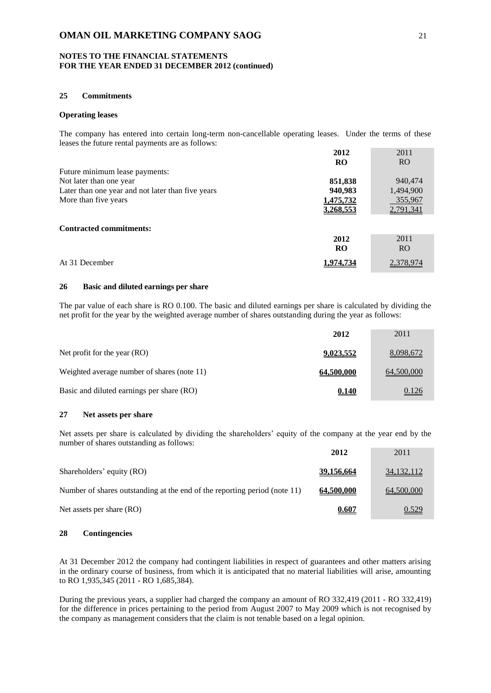### **NOTES TO THE FINANCIAL STATEMENTS FOR THE YEAR ENDED 31 DECEMBER 2012 (continued)**

## **25 Commitments**

#### **Operating leases**

The company has entered into certain long-term non-cancellable operating leases. Under the terms of these leases the future rental payments are as follows:

|                                                   | 2012      | 2011            |
|---------------------------------------------------|-----------|-----------------|
|                                                   | <b>RO</b> | RO <sub>1</sub> |
| Future minimum lease payments:                    |           |                 |
| Not later than one year                           | 851,838   | 940,474         |
| Later than one year and not later than five years | 940,983   | 1,494,900       |
| More than five years                              | 1,475,732 | 355,967         |
|                                                   | 3,268,553 | 2,791,341       |
|                                                   |           |                 |
| <b>Contracted commitments:</b>                    |           |                 |
|                                                   | 2012      | 2011            |
|                                                   | <b>RO</b> | R <sub>O</sub>  |
| At 31 December                                    | .974.734  | 2.378.974       |

### **26 Basic and diluted earnings per share**

The par value of each share is RO 0.100. The basic and diluted earnings per share is calculated by dividing the net profit for the year by the weighted average number of shares outstanding during the year as follows:

|                                             | 2012              | 2011       |
|---------------------------------------------|-------------------|------------|
| Net profit for the year $(RO)$              | 9,023,552         | 8,098,672  |
| Weighted average number of shares (note 11) | <u>64,500,000</u> | 64,500,000 |
| Basic and diluted earnings per share (RO)   | 0.140             | 0.126      |

#### **27 Net assets per share**

Net assets per share is calculated by dividing the shareholders' equity of the company at the year end by the number of shares outstanding as follows:

|                                                                           | 2012       | 2011       |
|---------------------------------------------------------------------------|------------|------------|
| Shareholders' equity (RO)                                                 | 39.156.664 | 34,132,112 |
| Number of shares outstanding at the end of the reporting period (note 11) | 64.500.000 | 64,500,000 |
| Net assets per share (RO)                                                 | 0.607      | 0.529      |

#### **28 Contingencies**

At 31 December 2012 the company had contingent liabilities in respect of guarantees and other matters arising in the ordinary course of business, from which it is anticipated that no material liabilities will arise, amounting to RO 1,935,345 (2011 - RO 1,685,384).

During the previous years, a supplier had charged the company an amount of RO 332,419 (2011 - RO 332,419) for the difference in prices pertaining to the period from August 2007 to May 2009 which is not recognised by the company as management considers that the claim is not tenable based on a legal opinion.